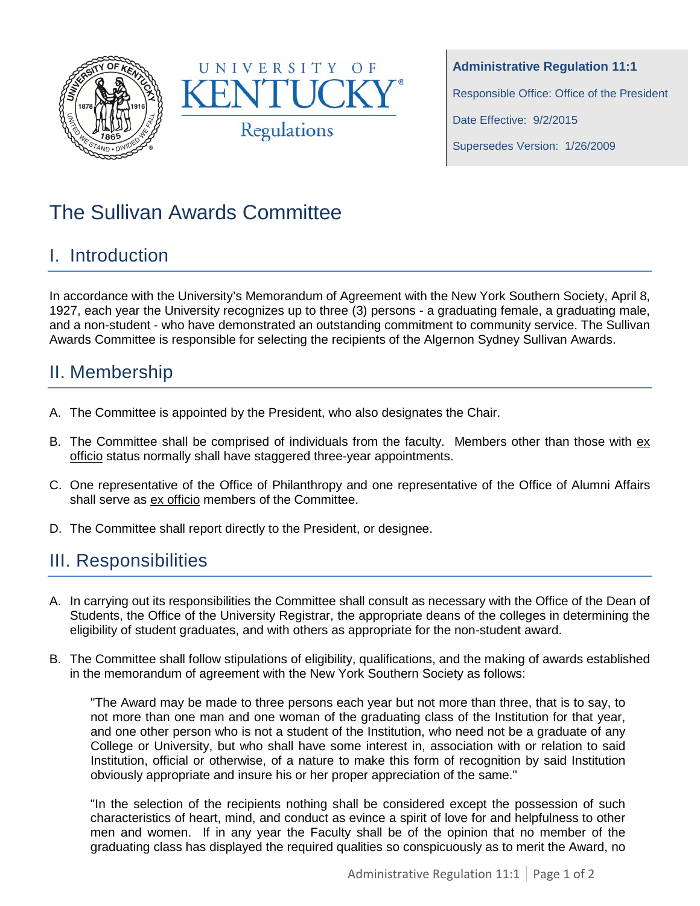



**Administrative Regulation 11:1** Responsible Office: Office of the President Date Effective: 9/2/2015 Supersedes Version: 1/26/2009

# The Sullivan Awards Committee

#### I. Introduction

In accordance with the University's Memorandum of Agreement with the New York Southern Society, April 8, 1927, each year the University recognizes up to three (3) persons - a graduating female, a graduating male, and a non-student - who have demonstrated an outstanding commitment to community service. The Sullivan Awards Committee is responsible for selecting the recipients of the Algernon Sydney Sullivan Awards.

## II. Membership

- A. The Committee is appointed by the President, who also designates the Chair.
- B. The Committee shall be comprised of individuals from the faculty. Members other than those with ex officio status normally shall have staggered three-year appointments.
- C. One representative of the Office of Philanthropy and one representative of the Office of Alumni Affairs shall serve as ex officio members of the Committee.
- D. The Committee shall report directly to the President, or designee.

## III. Responsibilities

- A. In carrying out its responsibilities the Committee shall consult as necessary with the Office of the Dean of Students, the Office of the University Registrar, the appropriate deans of the colleges in determining the eligibility of student graduates, and with others as appropriate for the non-student award.
- B. The Committee shall follow stipulations of eligibility, qualifications, and the making of awards established in the memorandum of agreement with the New York Southern Society as follows:

"The Award may be made to three persons each year but not more than three, that is to say, to not more than one man and one woman of the graduating class of the Institution for that year, and one other person who is not a student of the Institution, who need not be a graduate of any College or University, but who shall have some interest in, association with or relation to said Institution, official or otherwise, of a nature to make this form of recognition by said Institution obviously appropriate and insure his or her proper appreciation of the same."

"In the selection of the recipients nothing shall be considered except the possession of such characteristics of heart, mind, and conduct as evince a spirit of love for and helpfulness to other men and women. If in any year the Faculty shall be of the opinion that no member of the graduating class has displayed the required qualities so conspicuously as to merit the Award, no